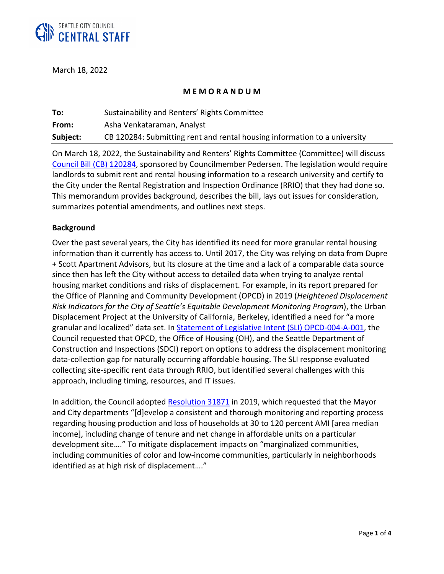

March 18, 2022

### **M E M O R A N D U M**

| To:      | Sustainability and Renters' Rights Committee                              |
|----------|---------------------------------------------------------------------------|
| From:    | Asha Venkataraman, Analyst                                                |
| Subject: | CB 120284: Submitting rent and rental housing information to a university |

On March 18, 2022, the Sustainability and Renters' Rights Committee (Committee) will discuss [Council Bill \(CB\) 120284,](https://seattle.legistar.com/LegislationDetail.aspx?ID=5525094&GUID=6BE5C91B-F3E6-4DDA-B550-B6D3E8FB0DE1&Options=ID|Text|&Search=120284) sponsored by Councilmember Pedersen. The legislation would require landlords to submit rent and rental housing information to a research university and certify to the City under the Rental Registration and Inspection Ordinance (RRIO) that they had done so. This memorandum provides background, describes the bill, lays out issues for consideration, summarizes potential amendments, and outlines next steps.

### **Background**

Over the past several years, the City has identified its need for more granular rental housing information than it currently has access to. Until 2017, the City was relying on data from Dupre + Scott Apartment Advisors, but its closure at the time and a lack of a comparable data source since then has left the City without access to detailed data when trying to analyze rental housing market conditions and risks of displacement. For example, in its report prepared for the Office of Planning and Community Development (OPCD) in 2019 (*Heightened Displacement Risk Indicators for the City of Seattle's Equitable Development Monitoring Program*), the Urban Displacement Project at the University of California, Berkeley, identified a need for "a more granular and localized" data set. In [Statement of Legislative Intent \(SLI\) OPCD-004-A-001,](https://seattle.legistar.com/View.ashx?M=F&ID=8925926&GUID=A78B68DC-9701-45CA-B3F6-EE02A1246DD3) the Council requested that OPCD, the Office of Housing (OH), and the Seattle Department of Construction and Inspections (SDCI) report on options to address the displacement monitoring data-collection gap for naturally occurring affordable housing. The SLI response evaluated collecting site-specific rent data through RRIO, but identified several challenges with this approach, including timing, resources, and IT issues.

In addition, the Council adopted [Resolution 31871](https://seattle.legistar.com/LegislationDetail.aspx?ID=3881345&GUID=3FB1D1A4-A9D9-4739-A789-EC7DB5621491) in 2019, which requested that the Mayor and City departments "[d]evelop a consistent and thorough monitoring and reporting process regarding housing production and loss of households at 30 to 120 percent AMI [area median income], including change of tenure and net change in affordable units on a particular development site…." To mitigate displacement impacts on "marginalized communities, including communities of color and low-income communities, particularly in neighborhoods identified as at high risk of displacement…."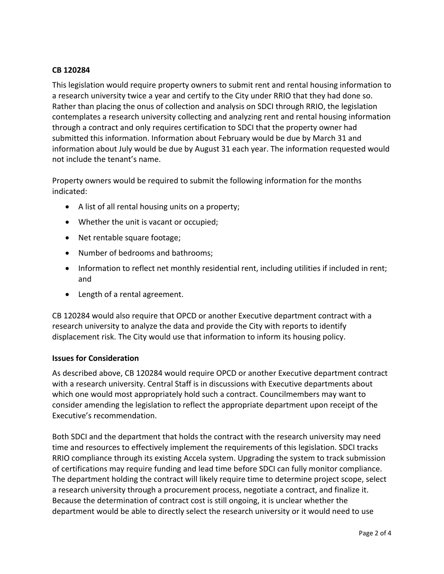# **CB 120284**

This legislation would require property owners to submit rent and rental housing information to a research university twice a year and certify to the City under RRIO that they had done so. Rather than placing the onus of collection and analysis on SDCI through RRIO, the legislation contemplates a research university collecting and analyzing rent and rental housing information through a contract and only requires certification to SDCI that the property owner had submitted this information. Information about February would be due by March 31 and information about July would be due by August 31 each year. The information requested would not include the tenant's name.

Property owners would be required to submit the following information for the months indicated:

- A list of all rental housing units on a property;
- Whether the unit is vacant or occupied;
- Net rentable square footage;
- Number of bedrooms and bathrooms;
- Information to reflect net monthly residential rent, including utilities if included in rent; and
- Length of a rental agreement.

CB 120284 would also require that OPCD or another Executive department contract with a research university to analyze the data and provide the City with reports to identify displacement risk. The City would use that information to inform its housing policy.

#### **Issues for Consideration**

As described above, CB 120284 would require OPCD or another Executive department contract with a research university. Central Staff is in discussions with Executive departments about which one would most appropriately hold such a contract. Councilmembers may want to consider amending the legislation to reflect the appropriate department upon receipt of the Executive's recommendation.

Both SDCI and the department that holds the contract with the research university may need time and resources to effectively implement the requirements of this legislation. SDCI tracks RRIO compliance through its existing Accela system. Upgrading the system to track submission of certifications may require funding and lead time before SDCI can fully monitor compliance. The department holding the contract will likely require time to determine project scope, select a research university through a procurement process, negotiate a contract, and finalize it. Because the determination of contract cost is still ongoing, it is unclear whether the department would be able to directly select the research university or it would need to use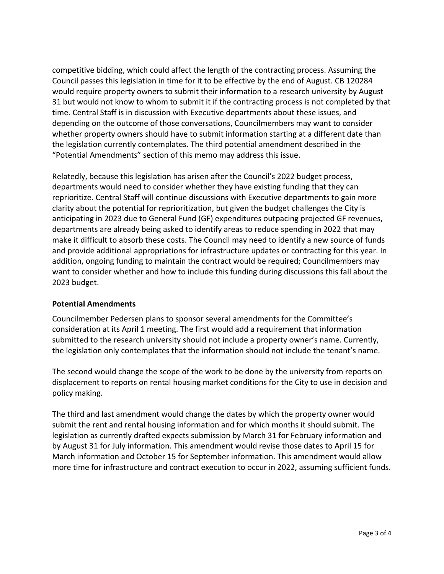competitive bidding, which could affect the length of the contracting process. Assuming the Council passes this legislation in time for it to be effective by the end of August. CB 120284 would require property owners to submit their information to a research university by August 31 but would not know to whom to submit it if the contracting process is not completed by that time. Central Staff is in discussion with Executive departments about these issues, and depending on the outcome of those conversations, Councilmembers may want to consider whether property owners should have to submit information starting at a different date than the legislation currently contemplates. The third potential amendment described in the "Potential Amendments" section of this memo may address this issue.

Relatedly, because this legislation has arisen after the Council's 2022 budget process, departments would need to consider whether they have existing funding that they can reprioritize. Central Staff will continue discussions with Executive departments to gain more clarity about the potential for reprioritization, but given the budget challenges the City is anticipating in 2023 due to General Fund (GF) expenditures outpacing projected GF revenues, departments are already being asked to identify areas to reduce spending in 2022 that may make it difficult to absorb these costs. The Council may need to identify a new source of funds and provide additional appropriations for infrastructure updates or contracting for this year. In addition, ongoing funding to maintain the contract would be required; Councilmembers may want to consider whether and how to include this funding during discussions this fall about the 2023 budget.

# **Potential Amendments**

Councilmember Pedersen plans to sponsor several amendments for the Committee's consideration at its April 1 meeting. The first would add a requirement that information submitted to the research university should not include a property owner's name. Currently, the legislation only contemplates that the information should not include the tenant's name.

The second would change the scope of the work to be done by the university from reports on displacement to reports on rental housing market conditions for the City to use in decision and policy making.

The third and last amendment would change the dates by which the property owner would submit the rent and rental housing information and for which months it should submit. The legislation as currently drafted expects submission by March 31 for February information and by August 31 for July information. This amendment would revise those dates to April 15 for March information and October 15 for September information. This amendment would allow more time for infrastructure and contract execution to occur in 2022, assuming sufficient funds.